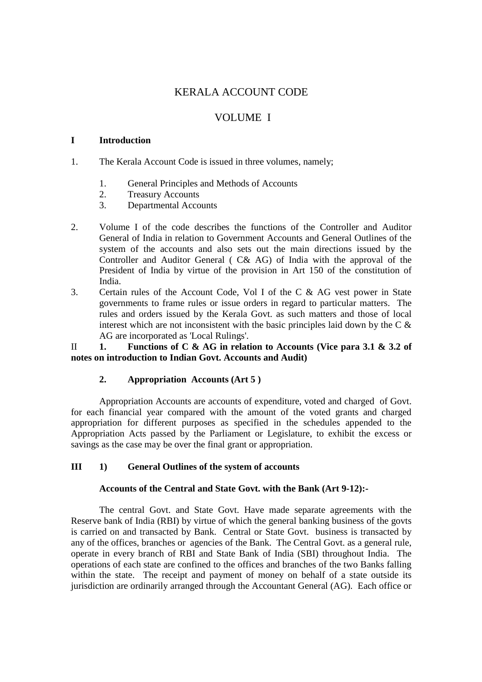# KERALA ACCOUNT CODE

# VOLUME I

### **I Introduction**

- 1. The Kerala Account Code is issued in three volumes, namely;
	- 1. General Principles and Methods of Accounts
	- 2. Treasury Accounts
	- 3. Departmental Accounts
- 2. Volume I of the code describes the functions of the Controller and Auditor General of India in relation to Government Accounts and General Outlines of the system of the accounts and also sets out the main directions issued by the Controller and Auditor General ( C& AG) of India with the approval of the President of India by virtue of the provision in Art 150 of the constitution of India.
- 3. Certain rules of the Account Code, Vol I of the C & AG vest power in State governments to frame rules or issue orders in regard to particular matters. The rules and orders issued by the Kerala Govt. as such matters and those of local interest which are not inconsistent with the basic principles laid down by the  $C \&$ AG are incorporated as 'Local Rulings'.

II **1. Functions of C & AG in relation to Accounts (Vice para 3.1 & 3.2 of notes on introduction to Indian Govt. Accounts and Audit)** 

## **2. Appropriation Accounts (Art 5 )**

Appropriation Accounts are accounts of expenditure, voted and charged of Govt. for each financial year compared with the amount of the voted grants and charged appropriation for different purposes as specified in the schedules appended to the Appropriation Acts passed by the Parliament or Legislature, to exhibit the excess or savings as the case may be over the final grant or appropriation.

### **III 1) General Outlines of the system of accounts**

#### **Accounts of the Central and State Govt. with the Bank (Art 9-12):-**

 The central Govt. and State Govt. Have made separate agreements with the Reserve bank of India (RBI) by virtue of which the general banking business of the govts is carried on and transacted by Bank. Central or State Govt. business is transacted by any of the offices, branches or agencies of the Bank. The Central Govt. as a general rule, operate in every branch of RBI and State Bank of India (SBI) throughout India. The operations of each state are confined to the offices and branches of the two Banks falling within the state. The receipt and payment of money on behalf of a state outside its jurisdiction are ordinarily arranged through the Accountant General (AG). Each office or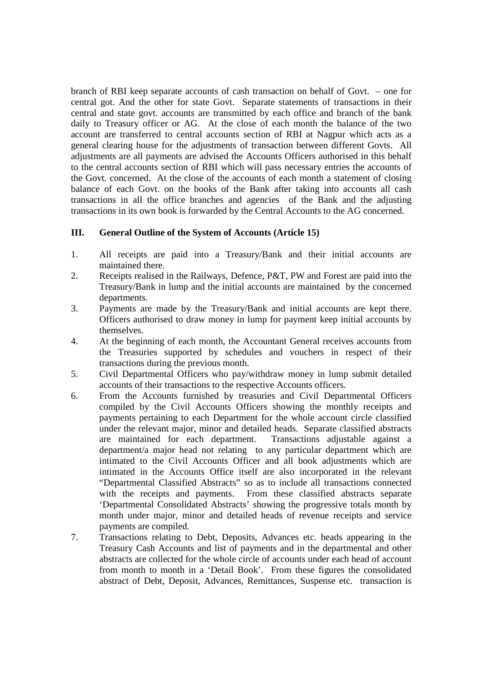branch of RBI keep separate accounts of cash transaction on behalf of Govt. – one for central got. And the other for state Govt. Separate statements of transactions in their central and state govt. accounts are transmitted by each office and branch of the bank daily to Treasury officer or AG. At the close of each month the balance of the two account are transferred to central accounts section of RBI at Nagpur which acts as a general clearing house for the adjustments of transaction between different Govts. All adjustments are all payments are advised the Accounts Officers authorised in this behalf to the central accounts section of RBI which will pass necessary entries the accounts of the Govt. concerned. At the close of the accounts of each month a statement of closing balance of each Govt. on the books of the Bank after taking into accounts all cash transactions in all the office branches and agencies of the Bank and the adjusting transactions in its own book is forwarded by the Central Accounts to the AG concerned.

## **III. General Outline of the System of Accounts (Article 15)**

- 1. All receipts are paid into a Treasury/Bank and their initial accounts are maintained there.
- 2. Receipts realised in the Railways, Defence, P&T, PW and Forest are paid into the Treasury/Bank in lump and the initial accounts are maintained by the concerned departments.
- 3. Payments are made by the Treasury/Bank and initial accounts are kept there. Officers authorised to draw money in lump for payment keep initial accounts by themselves.
- 4. At the beginning of each month, the Accountant General receives accounts from the Treasuries supported by schedules and vouchers in respect of their transactions during the previous month.
- 5. Civil Departmental Officers who pay/withdraw money in lump submit detailed accounts of their transactions to the respective Accounts officers.
- 6. From the Accounts furnished by treasuries and Civil Departmental Officers compiled by the Civil Accounts Officers showing the monthly receipts and payments pertaining to each Department for the whole account circle classified under the relevant major, minor and detailed heads. Separate classified abstracts are maintained for each department. Transactions adjustable against a department/a major head not relating to any particular department which are intimated to the Civil Accounts Officer and all book adjustments which are intimated in the Accounts Office itself are also incorporated in the relevant "Departmental Classified Abstracts" so as to include all transactions connected with the receipts and payments. From these classified abstracts separate 'Departmental Consolidated Abstracts' showing the progressive totals month by month under major, minor and detailed heads of revenue receipts and service payments are compiled.
- 7. Transactions relating to Debt, Deposits, Advances etc. heads appearing in the Treasury Cash Accounts and list of payments and in the departmental and other abstracts are collected for the whole circle of accounts under each head of account from month to month in a 'Detail Book'. From these figures the consolidated abstract of Debt, Deposit, Advances, Remittances, Suspense etc. transaction is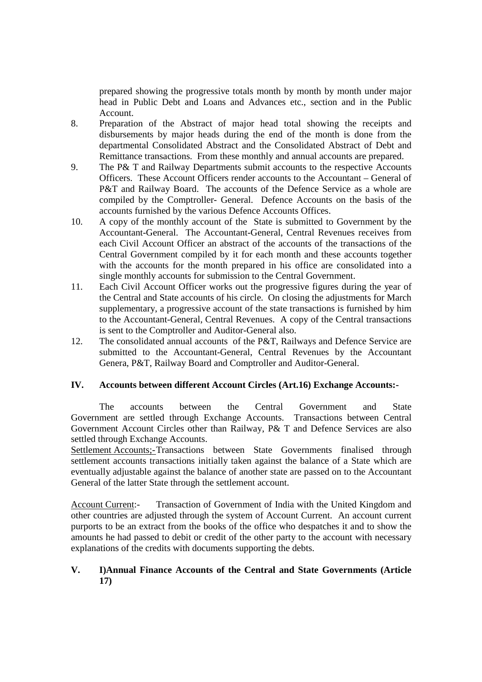prepared showing the progressive totals month by month by month under major head in Public Debt and Loans and Advances etc., section and in the Public Account.

- 8. Preparation of the Abstract of major head total showing the receipts and disbursements by major heads during the end of the month is done from the departmental Consolidated Abstract and the Consolidated Abstract of Debt and Remittance transactions. From these monthly and annual accounts are prepared.
- 9. The P& T and Railway Departments submit accounts to the respective Accounts Officers. These Account Officers render accounts to the Accountant – General of P&T and Railway Board. The accounts of the Defence Service as a whole are compiled by the Comptroller- General. Defence Accounts on the basis of the accounts furnished by the various Defence Accounts Offices.
- 10. A copy of the monthly account of the State is submitted to Government by the Accountant-General. The Accountant-General, Central Revenues receives from each Civil Account Officer an abstract of the accounts of the transactions of the Central Government compiled by it for each month and these accounts together with the accounts for the month prepared in his office are consolidated into a single monthly accounts for submission to the Central Government.
- 11. Each Civil Account Officer works out the progressive figures during the year of the Central and State accounts of his circle. On closing the adjustments for March supplementary, a progressive account of the state transactions is furnished by him to the Accountant-General, Central Revenues. A copy of the Central transactions is sent to the Comptroller and Auditor-General also.
- 12. The consolidated annual accounts of the P&T, Railways and Defence Service are submitted to the Accountant-General, Central Revenues by the Accountant Genera, P&T, Railway Board and Comptroller and Auditor-General.

## **IV. Accounts between different Account Circles (Art.16) Exchange Accounts:-**

The accounts between the Central Government and State Government are settled through Exchange Accounts. Transactions between Central Government Account Circles other than Railway, P& T and Defence Services are also settled through Exchange Accounts.

Settlement Accounts;- Transactions between State Governments finalised through settlement accounts transactions initially taken against the balance of a State which are eventually adjustable against the balance of another state are passed on to the Accountant General of the latter State through the settlement account.

Account Current:- Transaction of Government of India with the United Kingdom and other countries are adjusted through the system of Account Current. An account current purports to be an extract from the books of the office who despatches it and to show the amounts he had passed to debit or credit of the other party to the account with necessary explanations of the credits with documents supporting the debts.

## **V. I)Annual Finance Accounts of the Central and State Governments (Article 17)**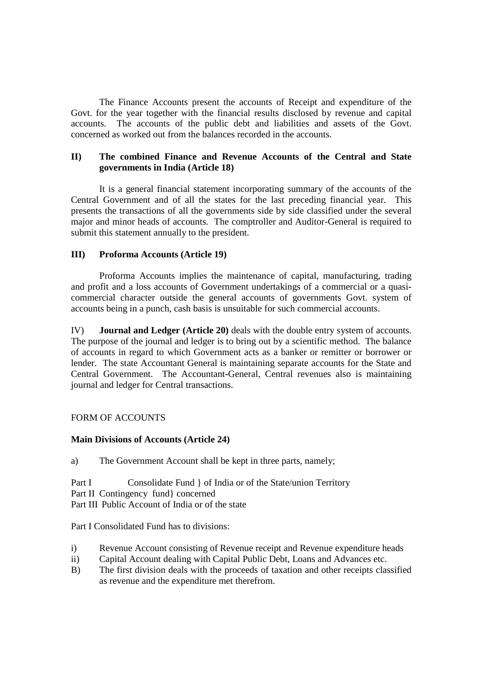The Finance Accounts present the accounts of Receipt and expenditure of the Govt. for the year together with the financial results disclosed by revenue and capital accounts. The accounts of the public debt and liabilities and assets of the Govt. concerned as worked out from the balances recorded in the accounts.

## **II) The combined Finance and Revenue Accounts of the Central and State governments in India (Article 18)**

It is a general financial statement incorporating summary of the accounts of the Central Government and of all the states for the last preceding financial year. This presents the transactions of all the governments side by side classified under the several major and minor heads of accounts. The comptroller and Auditor-General is required to submit this statement annually to the president.

## **III) Proforma Accounts (Article 19)**

Proforma Accounts implies the maintenance of capital, manufacturing, trading and profit and a loss accounts of Government undertakings of a commercial or a quasicommercial character outside the general accounts of governments Govt. system of accounts being in a punch, cash basis is unsuitable for such commercial accounts.

IV) **Journal and Ledger (Article 20)** deals with the double entry system of accounts. The purpose of the journal and ledger is to bring out by a scientific method. The balance of accounts in regard to which Government acts as a banker or remitter or borrower or lender. The state Accountant General is maintaining separate accounts for the State and Central Government. The Accountant-General, Central revenues also is maintaining journal and ledger for Central transactions.

## FORM OF ACCOUNTS

## **Main Divisions of Accounts (Article 24)**

a) The Government Account shall be kept in three parts, namely;

Part I Consolidate Fund } of India or of the State/union Territory Part II Contingency fund} concerned Part III Public Account of India or of the state

Part I Consolidated Fund has to divisions:

- i) Revenue Account consisting of Revenue receipt and Revenue expenditure heads
- ii) Capital Account dealing with Capital Public Debt, Loans and Advances etc.
- B) The first division deals with the proceeds of taxation and other receipts classified as revenue and the expenditure met therefrom.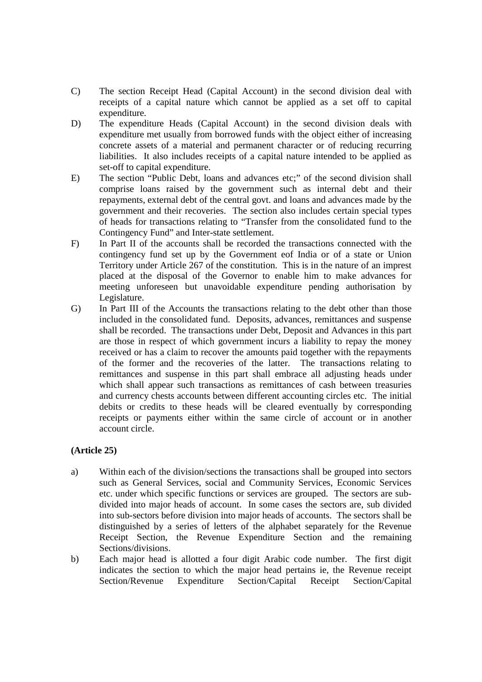- C) The section Receipt Head (Capital Account) in the second division deal with receipts of a capital nature which cannot be applied as a set off to capital expenditure.
- D) The expenditure Heads (Capital Account) in the second division deals with expenditure met usually from borrowed funds with the object either of increasing concrete assets of a material and permanent character or of reducing recurring liabilities. It also includes receipts of a capital nature intended to be applied as set-off to capital expenditure.
- E) The section "Public Debt, loans and advances etc;" of the second division shall comprise loans raised by the government such as internal debt and their repayments, external debt of the central govt. and loans and advances made by the government and their recoveries. The section also includes certain special types of heads for transactions relating to "Transfer from the consolidated fund to the Contingency Fund" and Inter-state settlement.
- F) In Part II of the accounts shall be recorded the transactions connected with the contingency fund set up by the Government eof India or of a state or Union Territory under Article 267 of the constitution. This is in the nature of an imprest placed at the disposal of the Governor to enable him to make advances for meeting unforeseen but unavoidable expenditure pending authorisation by Legislature.
- G) In Part III of the Accounts the transactions relating to the debt other than those included in the consolidated fund. Deposits, advances, remittances and suspense shall be recorded. The transactions under Debt, Deposit and Advances in this part are those in respect of which government incurs a liability to repay the money received or has a claim to recover the amounts paid together with the repayments of the former and the recoveries of the latter. The transactions relating to remittances and suspense in this part shall embrace all adjusting heads under which shall appear such transactions as remittances of cash between treasuries and currency chests accounts between different accounting circles etc. The initial debits or credits to these heads will be cleared eventually by corresponding receipts or payments either within the same circle of account or in another account circle.

# **(Article 25)**

- a) Within each of the division/sections the transactions shall be grouped into sectors such as General Services, social and Community Services, Economic Services etc. under which specific functions or services are grouped. The sectors are subdivided into major heads of account. In some cases the sectors are, sub divided into sub-sectors before division into major heads of accounts. The sectors shall be distinguished by a series of letters of the alphabet separately for the Revenue Receipt Section, the Revenue Expenditure Section and the remaining Sections/divisions.
- b) Each major head is allotted a four digit Arabic code number. The first digit indicates the section to which the major head pertains ie, the Revenue receipt Section/Revenue Expenditure Section/Capital Receipt Section/Capital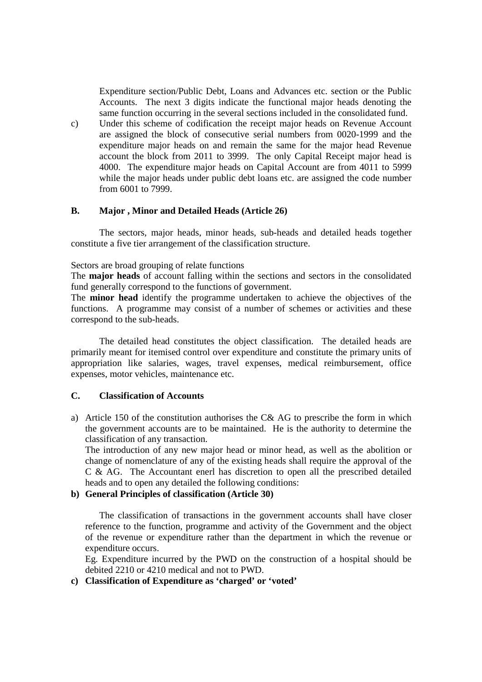Expenditure section/Public Debt, Loans and Advances etc. section or the Public Accounts. The next 3 digits indicate the functional major heads denoting the same function occurring in the several sections included in the consolidated fund.

c) Under this scheme of codification the receipt major heads on Revenue Account are assigned the block of consecutive serial numbers from 0020-1999 and the expenditure major heads on and remain the same for the major head Revenue account the block from 2011 to 3999. The only Capital Receipt major head is 4000. The expenditure major heads on Capital Account are from 4011 to 5999 while the major heads under public debt loans etc. are assigned the code number from 6001 to 7999.

### **B. Major , Minor and Detailed Heads (Article 26)**

The sectors, major heads, minor heads, sub-heads and detailed heads together constitute a five tier arrangement of the classification structure.

Sectors are broad grouping of relate functions

The **major heads** of account falling within the sections and sectors in the consolidated fund generally correspond to the functions of government.

The **minor head** identify the programme undertaken to achieve the objectives of the functions. A programme may consist of a number of schemes or activities and these correspond to the sub-heads.

 The detailed head constitutes the object classification. The detailed heads are primarily meant for itemised control over expenditure and constitute the primary units of appropriation like salaries, wages, travel expenses, medical reimbursement, office expenses, motor vehicles, maintenance etc.

### **C. Classification of Accounts**

a) Article 150 of the constitution authorises the C& AG to prescribe the form in which the government accounts are to be maintained. He is the authority to determine the classification of any transaction.

The introduction of any new major head or minor head, as well as the abolition or change of nomenclature of any of the existing heads shall require the approval of the C & AG. The Accountant enerl has discretion to open all the prescribed detailed heads and to open any detailed the following conditions:

## **b) General Principles of classification (Article 30)**

The classification of transactions in the government accounts shall have closer reference to the function, programme and activity of the Government and the object of the revenue or expenditure rather than the department in which the revenue or expenditure occurs.

Eg. Expenditure incurred by the PWD on the construction of a hospital should be debited 2210 or 4210 medical and not to PWD.

## **c) Classification of Expenditure as 'charged' or 'voted'**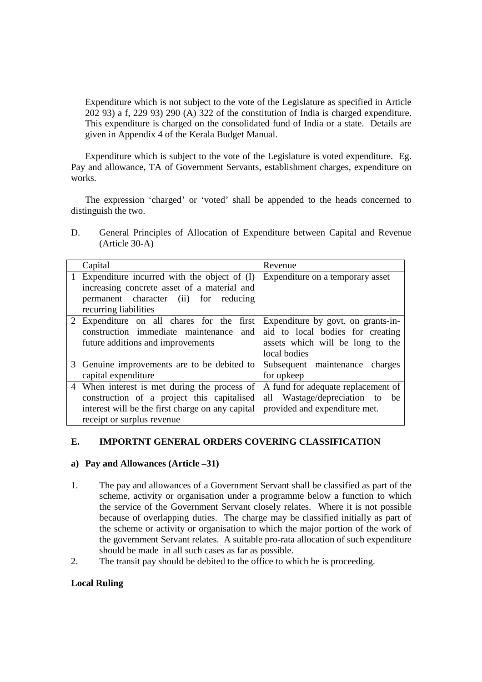Expenditure which is not subject to the vote of the Legislature as specified in Article 202 93) a f, 229 93) 290 (A) 322 of the constitution of India is charged expenditure. This expenditure is charged on the consolidated fund of India or a state. Details are given in Appendix 4 of the Kerala Budget Manual.

Expenditure which is subject to the vote of the Legislature is voted expenditure. Eg. Pay and allowance, TA of Government Servants, establishment charges, expenditure on works.

The expression 'charged' or 'voted' shall be appended to the heads concerned to distinguish the two.

D. General Principles of Allocation of Expenditure between Capital and Revenue (Article 30-A)

|                 | Capital                                          | Revenue                              |
|-----------------|--------------------------------------------------|--------------------------------------|
|                 | Expenditure incurred with the object of $(I)$    | Expenditure on a temporary asset     |
|                 | increasing concrete asset of a material and      |                                      |
|                 | permanent character (ii) for reducing            |                                      |
|                 | recurring liabilities                            |                                      |
| $\overline{2}$  | Expenditure on all chares for the first          | Expenditure by govt. on grants-in-   |
|                 | construction immediate maintenance<br>and        | aid to local bodies for creating     |
|                 | future additions and improvements                | assets which will be long to the     |
|                 |                                                  | local bodies                         |
|                 | Genuine improvements are to be debited to        | Subsequent maintenance charges       |
|                 | capital expenditure                              | for upkeep                           |
| $\vert 4 \vert$ | When interest is met during the process of       | A fund for adequate replacement of   |
|                 | construction of a project this capitalised       | Wastage/depreciation to<br>all<br>be |
|                 | interest will be the first charge on any capital | provided and expenditure met.        |
|                 | receipt or surplus revenue                       |                                      |

## **E. IMPORTNT GENERAL ORDERS COVERING CLASSIFICATION**

#### **a) Pay and Allowances (Article –31)**

- 1. The pay and allowances of a Government Servant shall be classified as part of the scheme, activity or organisation under a programme below a function to which the service of the Government Servant closely relates. Where it is not possible because of overlapping duties. The charge may be classified initially as part of the scheme or activity or organisation to which the major portion of the work of the government Servant relates. A suitable pro-rata allocation of such expenditure should be made in all such cases as far as possible.
- 2. The transit pay should be debited to the office to which he is proceeding.

## **Local Ruling**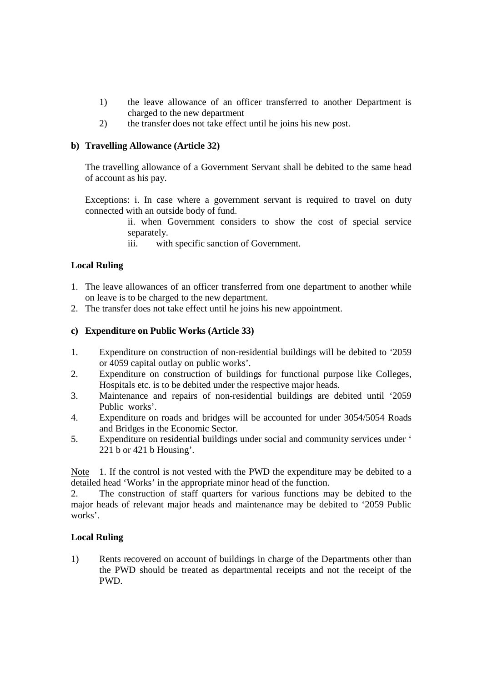- 1) the leave allowance of an officer transferred to another Department is charged to the new department
- 2) the transfer does not take effect until he joins his new post.

## **b) Travelling Allowance (Article 32)**

The travelling allowance of a Government Servant shall be debited to the same head of account as his pay.

Exceptions: i. In case where a government servant is required to travel on duty connected with an outside body of fund.

- ii. when Government considers to show the cost of special service separately.
- iii. with specific sanction of Government.

# **Local Ruling**

- 1. The leave allowances of an officer transferred from one department to another while on leave is to be charged to the new department.
- 2. The transfer does not take effect until he joins his new appointment.

## **c) Expenditure on Public Works (Article 33)**

- 1. Expenditure on construction of non-residential buildings will be debited to '2059 or 4059 capital outlay on public works'.
- 2. Expenditure on construction of buildings for functional purpose like Colleges, Hospitals etc. is to be debited under the respective major heads.
- 3. Maintenance and repairs of non-residential buildings are debited until '2059 Public works'.
- 4. Expenditure on roads and bridges will be accounted for under 3054/5054 Roads and Bridges in the Economic Sector.
- 5. Expenditure on residential buildings under social and community services under ' 221 b or 421 b Housing'.

Note 1. If the control is not vested with the PWD the expenditure may be debited to a detailed head 'Works' in the appropriate minor head of the function.

2. The construction of staff quarters for various functions may be debited to the major heads of relevant major heads and maintenance may be debited to '2059 Public works'.

# **Local Ruling**

1) Rents recovered on account of buildings in charge of the Departments other than the PWD should be treated as departmental receipts and not the receipt of the PWD.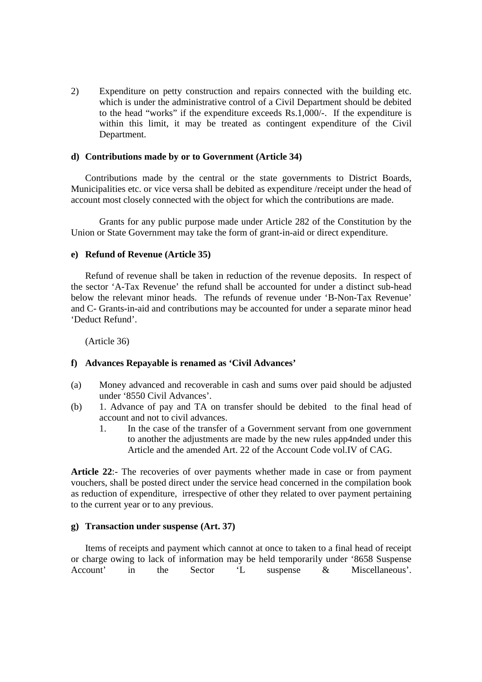2) Expenditure on petty construction and repairs connected with the building etc. which is under the administrative control of a Civil Department should be debited to the head "works" if the expenditure exceeds Rs.1,000/-. If the expenditure is within this limit, it may be treated as contingent expenditure of the Civil Department.

### **d) Contributions made by or to Government (Article 34)**

Contributions made by the central or the state governments to District Boards, Municipalities etc. or vice versa shall be debited as expenditure /receipt under the head of account most closely connected with the object for which the contributions are made.

 Grants for any public purpose made under Article 282 of the Constitution by the Union or State Government may take the form of grant-in-aid or direct expenditure.

### **e) Refund of Revenue (Article 35)**

Refund of revenue shall be taken in reduction of the revenue deposits. In respect of the sector 'A-Tax Revenue' the refund shall be accounted for under a distinct sub-head below the relevant minor heads. The refunds of revenue under 'B-Non-Tax Revenue' and C- Grants-in-aid and contributions may be accounted for under a separate minor head 'Deduct Refund'.

(Article 36)

## **f) Advances Repayable is renamed as 'Civil Advances'**

- (a) Money advanced and recoverable in cash and sums over paid should be adjusted under '8550 Civil Advances'.
- (b) 1. Advance of pay and TA on transfer should be debited to the final head of account and not to civil advances.
	- 1. In the case of the transfer of a Government servant from one government to another the adjustments are made by the new rules app4nded under this Article and the amended Art. 22 of the Account Code vol.IV of CAG.

**Article 22**:- The recoveries of over payments whether made in case or from payment vouchers, shall be posted direct under the service head concerned in the compilation book as reduction of expenditure, irrespective of other they related to over payment pertaining to the current year or to any previous.

#### **g) Transaction under suspense (Art. 37)**

Items of receipts and payment which cannot at once to taken to a final head of receipt or charge owing to lack of information may be held temporarily under '8658 Suspense Account' in the Sector 'L suspense & Miscellaneous'.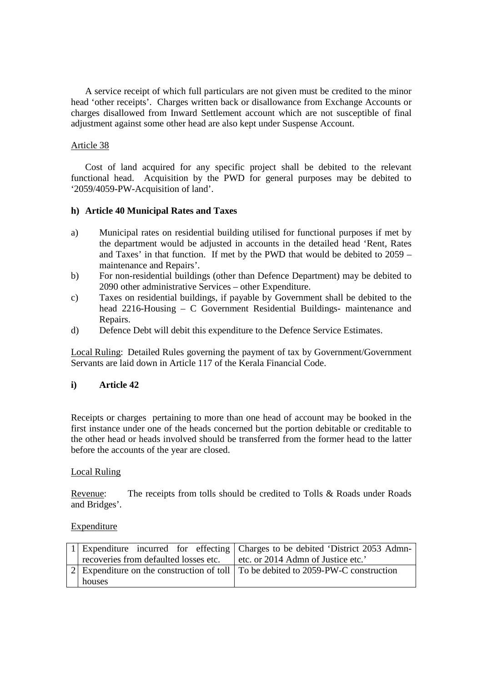A service receipt of which full particulars are not given must be credited to the minor head 'other receipts'. Charges written back or disallowance from Exchange Accounts or charges disallowed from Inward Settlement account which are not susceptible of final adjustment against some other head are also kept under Suspense Account.

## Article 38

Cost of land acquired for any specific project shall be debited to the relevant functional head. Acquisition by the PWD for general purposes may be debited to '2059/4059-PW-Acquisition of land'.

### **h) Article 40 Municipal Rates and Taxes**

- a) Municipal rates on residential building utilised for functional purposes if met by the department would be adjusted in accounts in the detailed head 'Rent, Rates and Taxes' in that function. If met by the PWD that would be debited to 2059 – maintenance and Repairs'.
- b) For non-residential buildings (other than Defence Department) may be debited to 2090 other administrative Services – other Expenditure.
- c) Taxes on residential buildings, if payable by Government shall be debited to the head 2216-Housing – C Government Residential Buildings- maintenance and Repairs.
- d) Defence Debt will debit this expenditure to the Defence Service Estimates.

Local Ruling: Detailed Rules governing the payment of tax by Government/Government Servants are laid down in Article 117 of the Kerala Financial Code.

## **i) Article 42**

Receipts or charges pertaining to more than one head of account may be booked in the first instance under one of the heads concerned but the portion debitable or creditable to the other head or heads involved should be transferred from the former head to the latter before the accounts of the year are closed.

#### Local Ruling

Revenue: The receipts from tolls should be credited to Tolls & Roads under Roads and Bridges'.

#### **Expenditure**

|                                       | 1 Expenditure incurred for effecting Charges to be debited 'District 2053 Admn-           |
|---------------------------------------|-------------------------------------------------------------------------------------------|
| recoveries from defaulted losses etc. | etc. or 2014 Admn of Justice etc.'                                                        |
|                                       | 2 Expenditure on the construction of toll $\vert$ To be debited to 2059-PW-C construction |
| houses                                |                                                                                           |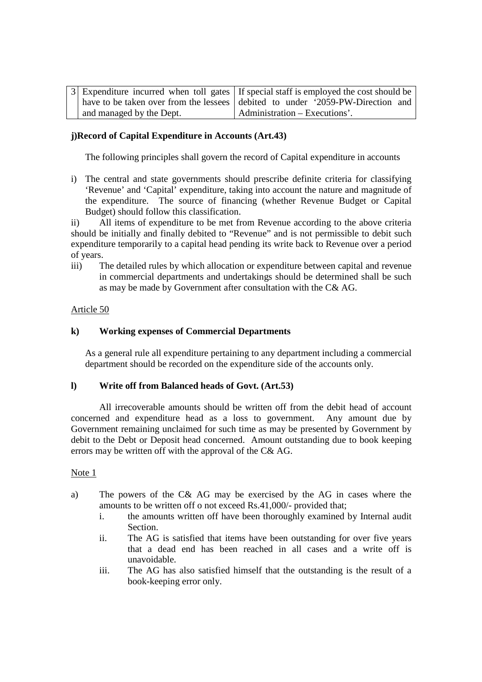|                          | 3 Expenditure incurred when toll gates   If special staff is employed the cost should be |
|--------------------------|------------------------------------------------------------------------------------------|
|                          | have to be taken over from the lessees debited to under '2059-PW-Direction and           |
| and managed by the Dept. | Administration – Executions'.                                                            |

## **j)Record of Capital Expenditure in Accounts (Art.43)**

The following principles shall govern the record of Capital expenditure in accounts

i) The central and state governments should prescribe definite criteria for classifying 'Revenue' and 'Capital' expenditure, taking into account the nature and magnitude of the expenditure. The source of financing (whether Revenue Budget or Capital Budget) should follow this classification.

ii) All items of expenditure to be met from Revenue according to the above criteria should be initially and finally debited to "Revenue" and is not permissible to debit such expenditure temporarily to a capital head pending its write back to Revenue over a period of years.

iii) The detailed rules by which allocation or expenditure between capital and revenue in commercial departments and undertakings should be determined shall be such as may be made by Government after consultation with the C& AG.

### Article 50

### **k) Working expenses of Commercial Departments**

As a general rule all expenditure pertaining to any department including a commercial department should be recorded on the expenditure side of the accounts only.

#### **l) Write off from Balanced heads of Govt. (Art.53)**

All irrecoverable amounts should be written off from the debit head of account concerned and expenditure head as a loss to government. Any amount due by Government remaining unclaimed for such time as may be presented by Government by debit to the Debt or Deposit head concerned. Amount outstanding due to book keeping errors may be written off with the approval of the C& AG.

#### Note 1

- a) The powers of the C& AG may be exercised by the AG in cases where the amounts to be written off o not exceed Rs.41,000/- provided that;
	- i. the amounts written off have been thoroughly examined by Internal audit Section.
	- ii. The AG is satisfied that items have been outstanding for over five years that a dead end has been reached in all cases and a write off is unavoidable.
	- iii. The AG has also satisfied himself that the outstanding is the result of a book-keeping error only.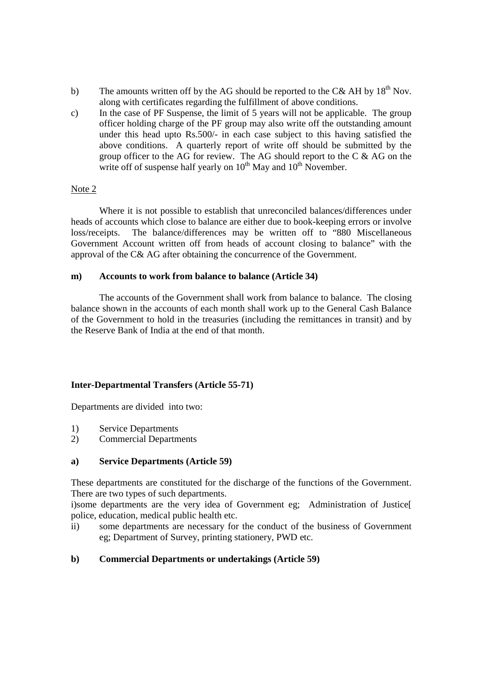- b) The amounts written off by the AG should be reported to the C& AH by  $18<sup>th</sup>$  Nov. along with certificates regarding the fulfillment of above conditions.
- c) In the case of PF Suspense, the limit of 5 years will not be applicable. The group officer holding charge of the PF group may also write off the outstanding amount under this head upto Rs.500/- in each case subject to this having satisfied the above conditions. A quarterly report of write off should be submitted by the group officer to the AG for review. The AG should report to the C & AG on the write off of suspense half yearly on  $10^{th}$  May and  $10^{th}$  November.

### Note 2

 Where it is not possible to establish that unreconciled balances/differences under heads of accounts which close to balance are either due to book-keeping errors or involve loss/receipts. The balance/differences may be written off to "880 Miscellaneous Government Account written off from heads of account closing to balance" with the approval of the C& AG after obtaining the concurrence of the Government.

### **m) Accounts to work from balance to balance (Article 34)**

 The accounts of the Government shall work from balance to balance. The closing balance shown in the accounts of each month shall work up to the General Cash Balance of the Government to hold in the treasuries (including the remittances in transit) and by the Reserve Bank of India at the end of that month.

## **Inter-Departmental Transfers (Article 55-71)**

Departments are divided into two:

- 1) Service Departments
- 2) Commercial Departments

#### **a) Service Departments (Article 59)**

These departments are constituted for the discharge of the functions of the Government. There are two types of such departments.

i)some departments are the very idea of Government eg; Administration of Justice[ police, education, medical public health etc.

ii) some departments are necessary for the conduct of the business of Government eg; Department of Survey, printing stationery, PWD etc.

## **b) Commercial Departments or undertakings (Article 59)**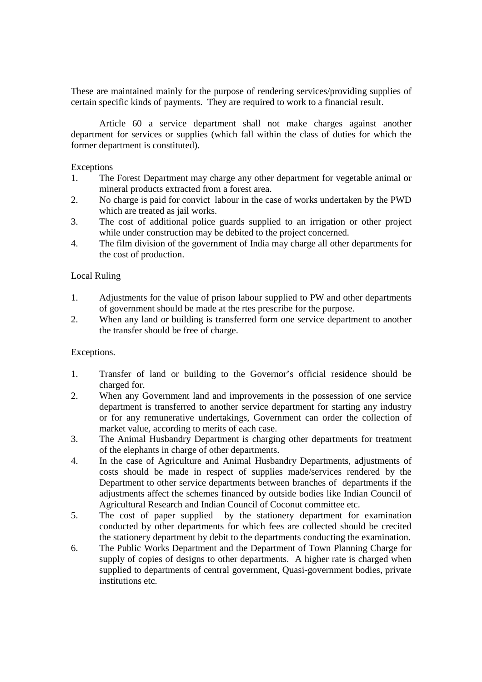These are maintained mainly for the purpose of rendering services/providing supplies of certain specific kinds of payments. They are required to work to a financial result.

 Article 60 a service department shall not make charges against another department for services or supplies (which fall within the class of duties for which the former department is constituted).

### Exceptions

- 1. The Forest Department may charge any other department for vegetable animal or mineral products extracted from a forest area.
- 2. No charge is paid for convict labour in the case of works undertaken by the PWD which are treated as jail works.
- 3. The cost of additional police guards supplied to an irrigation or other project while under construction may be debited to the project concerned.
- 4. The film division of the government of India may charge all other departments for the cost of production.

### Local Ruling

- 1. Adjustments for the value of prison labour supplied to PW and other departments of government should be made at the rtes prescribe for the purpose.
- 2. When any land or building is transferred form one service department to another the transfer should be free of charge.

## Exceptions.

- 1. Transfer of land or building to the Governor's official residence should be charged for.
- 2. When any Government land and improvements in the possession of one service department is transferred to another service department for starting any industry or for any remunerative undertakings, Government can order the collection of market value, according to merits of each case.
- 3. The Animal Husbandry Department is charging other departments for treatment of the elephants in charge of other departments.
- 4. In the case of Agriculture and Animal Husbandry Departments, adjustments of costs should be made in respect of supplies made/services rendered by the Department to other service departments between branches of departments if the adjustments affect the schemes financed by outside bodies like Indian Council of Agricultural Research and Indian Council of Coconut committee etc.
- 5. The cost of paper supplied by the stationery department for examination conducted by other departments for which fees are collected should be crecited the stationery department by debit to the departments conducting the examination.
- 6. The Public Works Department and the Department of Town Planning Charge for supply of copies of designs to other departments. A higher rate is charged when supplied to departments of central government, Quasi-government bodies, private institutions etc.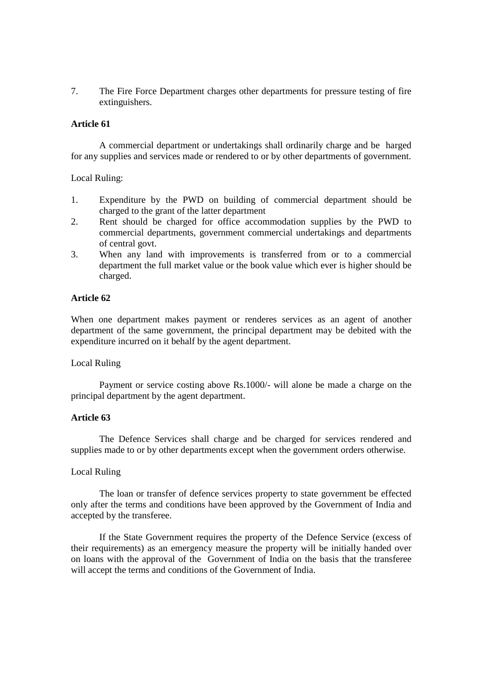7. The Fire Force Department charges other departments for pressure testing of fire extinguishers.

#### **Article 61**

 A commercial department or undertakings shall ordinarily charge and be harged for any supplies and services made or rendered to or by other departments of government.

#### Local Ruling:

- 1. Expenditure by the PWD on building of commercial department should be charged to the grant of the latter department
- 2. Rent should be charged for office accommodation supplies by the PWD to commercial departments, government commercial undertakings and departments of central govt.
- 3. When any land with improvements is transferred from or to a commercial department the full market value or the book value which ever is higher should be charged.

#### **Article 62**

When one department makes payment or renderes services as an agent of another department of the same government, the principal department may be debited with the expenditure incurred on it behalf by the agent department.

#### Local Ruling

 Payment or service costing above Rs.1000/- will alone be made a charge on the principal department by the agent department.

### **Article 63**

 The Defence Services shall charge and be charged for services rendered and supplies made to or by other departments except when the government orders otherwise.

#### Local Ruling

 The loan or transfer of defence services property to state government be effected only after the terms and conditions have been approved by the Government of India and accepted by the transferee.

 If the State Government requires the property of the Defence Service (excess of their requirements) as an emergency measure the property will be initially handed over on loans with the approval of the Government of India on the basis that the transferee will accept the terms and conditions of the Government of India.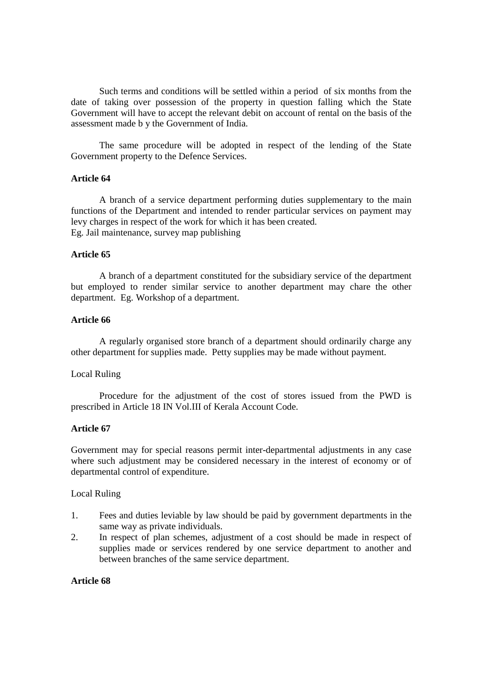Such terms and conditions will be settled within a period of six months from the date of taking over possession of the property in question falling which the State Government will have to accept the relevant debit on account of rental on the basis of the assessment made b y the Government of India.

 The same procedure will be adopted in respect of the lending of the State Government property to the Defence Services.

#### **Article 64**

A branch of a service department performing duties supplementary to the main functions of the Department and intended to render particular services on payment may levy charges in respect of the work for which it has been created. Eg. Jail maintenance, survey map publishing

### **Article 65**

 A branch of a department constituted for the subsidiary service of the department but employed to render similar service to another department may chare the other department. Eg. Workshop of a department.

#### **Article 66**

 A regularly organised store branch of a department should ordinarily charge any other department for supplies made. Petty supplies may be made without payment.

#### Local Ruling

Procedure for the adjustment of the cost of stores issued from the PWD is prescribed in Article 18 IN Vol.III of Kerala Account Code.

### **Article 67**

Government may for special reasons permit inter-departmental adjustments in any case where such adjustment may be considered necessary in the interest of economy or of departmental control of expenditure.

#### Local Ruling

- 1. Fees and duties leviable by law should be paid by government departments in the same way as private individuals.
- 2. In respect of plan schemes, adjustment of a cost should be made in respect of supplies made or services rendered by one service department to another and between branches of the same service department.

### **Article 68**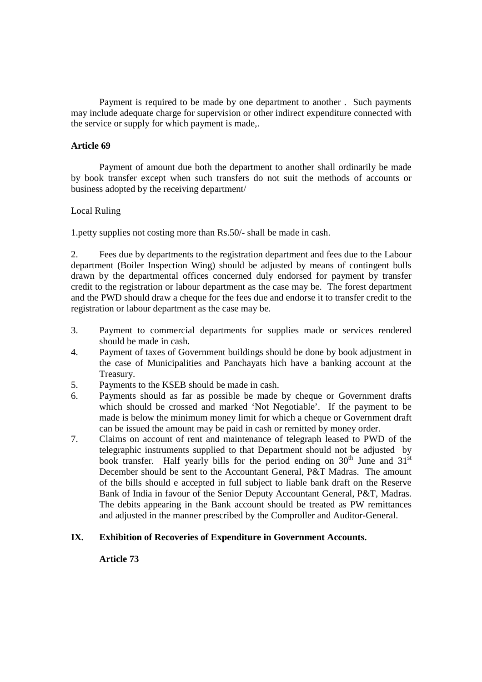Payment is required to be made by one department to another . Such payments may include adequate charge for supervision or other indirect expenditure connected with the service or supply for which payment is made,.

#### **Article 69**

Payment of amount due both the department to another shall ordinarily be made by book transfer except when such transfers do not suit the methods of accounts or business adopted by the receiving department/

### Local Ruling

1.petty supplies not costing more than Rs.50/- shall be made in cash.

2. Fees due by departments to the registration department and fees due to the Labour department (Boiler Inspection Wing) should be adjusted by means of contingent bulls drawn by the departmental offices concerned duly endorsed for payment by transfer credit to the registration or labour department as the case may be. The forest department and the PWD should draw a cheque for the fees due and endorse it to transfer credit to the registration or labour department as the case may be.

- 3. Payment to commercial departments for supplies made or services rendered should be made in cash.
- 4. Payment of taxes of Government buildings should be done by book adjustment in the case of Municipalities and Panchayats hich have a banking account at the Treasury.
- 5. Payments to the KSEB should be made in cash.
- 6. Payments should as far as possible be made by cheque or Government drafts which should be crossed and marked 'Not Negotiable'. If the payment to be made is below the minimum money limit for which a cheque or Government draft can be issued the amount may be paid in cash or remitted by money order.
- 7. Claims on account of rent and maintenance of telegraph leased to PWD of the telegraphic instruments supplied to that Department should not be adjusted by book transfer. Half yearly bills for the period ending on  $30<sup>th</sup>$  June and  $31<sup>st</sup>$ December should be sent to the Accountant General, P&T Madras. The amount of the bills should e accepted in full subject to liable bank draft on the Reserve Bank of India in favour of the Senior Deputy Accountant General, P&T, Madras. The debits appearing in the Bank account should be treated as PW remittances and adjusted in the manner prescribed by the Comproller and Auditor-General.

## **IX. Exhibition of Recoveries of Expenditure in Government Accounts.**

**Article 73**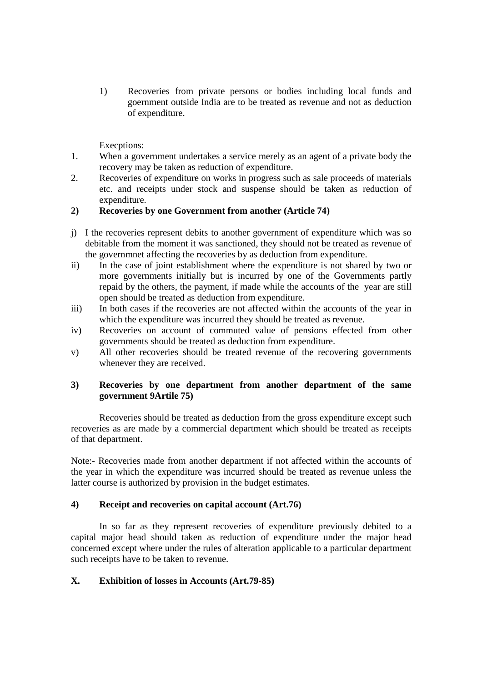1) Recoveries from private persons or bodies including local funds and goernment outside India are to be treated as revenue and not as deduction of expenditure.

Execptions:

- 1. When a government undertakes a service merely as an agent of a private body the recovery may be taken as reduction of expenditure.
- 2. Recoveries of expenditure on works in progress such as sale proceeds of materials etc. and receipts under stock and suspense should be taken as reduction of expenditure.

## **2) Recoveries by one Government from another (Article 74)**

- j) I the recoveries represent debits to another government of expenditure which was so debitable from the moment it was sanctioned, they should not be treated as revenue of the governmnet affecting the recoveries by as deduction from expenditure.
- ii) In the case of joint establishment where the expenditure is not shared by two or more governments initially but is incurred by one of the Governments partly repaid by the others, the payment, if made while the accounts of the year are still open should be treated as deduction from expenditure.
- iii) In both cases if the recoveries are not affected within the accounts of the year in which the expenditure was incurred they should be treated as revenue.
- iv) Recoveries on account of commuted value of pensions effected from other governments should be treated as deduction from expenditure.
- v) All other recoveries should be treated revenue of the recovering governments whenever they are received.

## **3) Recoveries by one department from another department of the same government 9Artile 75)**

Recoveries should be treated as deduction from the gross expenditure except such recoveries as are made by a commercial department which should be treated as receipts of that department.

Note:- Recoveries made from another department if not affected within the accounts of the year in which the expenditure was incurred should be treated as revenue unless the latter course is authorized by provision in the budget estimates.

# **4) Receipt and recoveries on capital account (Art.76)**

In so far as they represent recoveries of expenditure previously debited to a capital major head should taken as reduction of expenditure under the major head concerned except where under the rules of alteration applicable to a particular department such receipts have to be taken to revenue.

## **X. Exhibition of losses in Accounts (Art.79-85)**